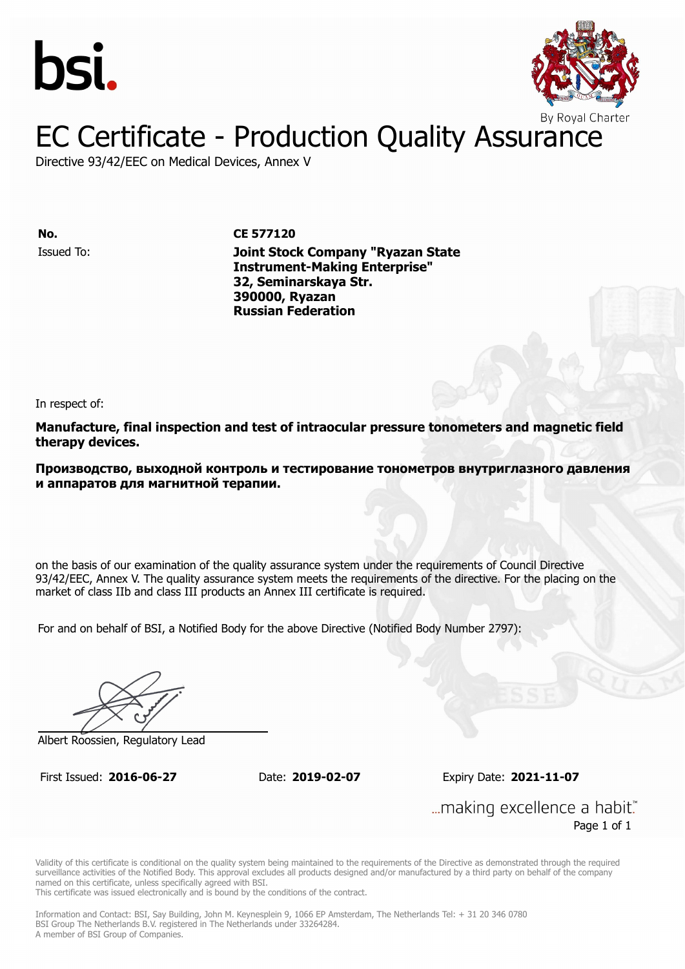



### EC Certificate - Production Quality Assurance

Directive 93/42/EEC on Medical Devices, Annex V

**No. CE 577120**

Issued To: **Joint Stock Company "Ryazan State Instrument-Making Enterprise" 32, Seminarskaya Str. 390000, Ryazan Russian Federation**

In respect of:

**Manufacture, final inspection and test of intraocular pressure tonometers and magnetic field therapy devices.**

**Производство, выходной контроль и тестирование тонометров внутриглазного давления и аппаратов для магнитной терапии.**

on the basis of our examination of the quality assurance system under the requirements of Council Directive 93/42/EEC, Annex V. The quality assurance system meets the requirements of the directive. For the placing on the market of class IIb and class III products an Annex III certificate is required.

For and on behalf of BSI, a Notified Body for the above Directive (Notified Body Number 2797):

Albert Roossien, Regulatory Lead

First Issued: **2016-06-27** Date: **2019-02-07** Expiry Date: **2021-11-07**

... making excellence a habit." Page 1 of 1

Validity of this certificate is conditional on the quality system being maintained to the requirements of the Directive as demonstrated through the required surveillance activities of the Notified Body. This approval excludes all products designed and/or manufactured by a third party on behalf of the company named on this certificate, unless specifically agreed with BSI.

This certificate was issued electronically and is bound by the conditions of the contract.

Information and Contact: BSI, Say Building, John M. Keynesplein 9, 1066 EP Amsterdam, The Netherlands Tel: + 31 20 346 0780 BSI Group The Netherlands B.V. registered in The Netherlands under 33264284. A member of BSI Group of Companies.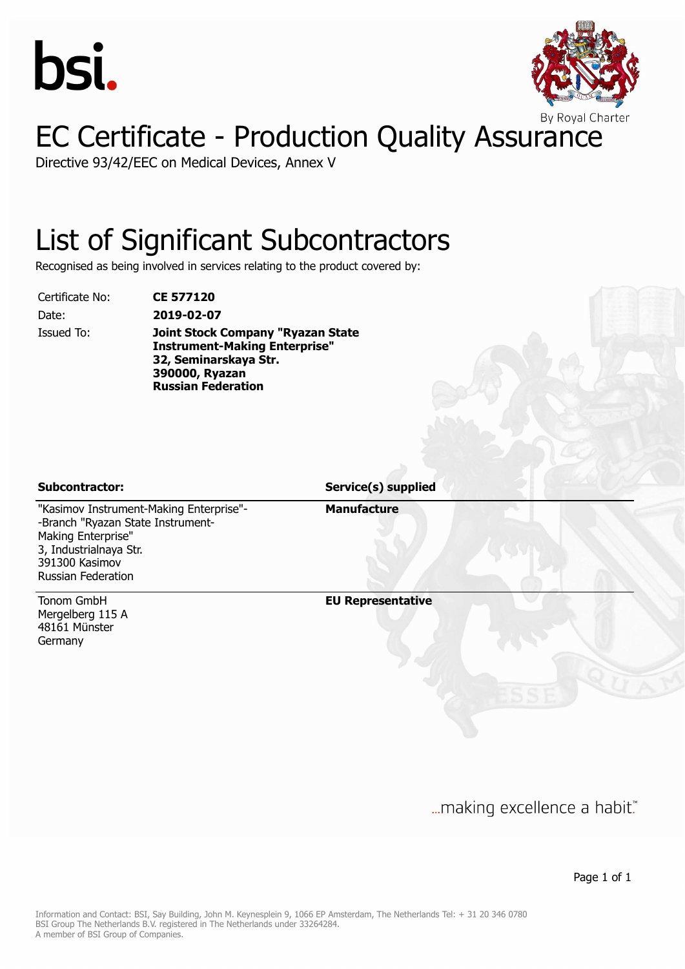



## EC Certificate - Production Quality Assurance

Directive 93/42/EEC on Medical Devices, Annex V

#### List of Significant Subcontractors

Recognised as being involved in services relating to the product covered by:

Certificate No: **CE 577120**

Date: **2019-02-07** Issued To: **Joint Stock Company "Ryazan State Instrument-Making Enterprise" 32, Seminarskaya Str. 390000, Ryazan Russian Federation**

**Subcontractor: Service(s) supplied**

**Manufacture**

"Kasimov Instrument-Making Enterprise"- -Branch "Ryazan State Instrument-Making Enterprise" 3, Industrialnaya Str. 391300 Kasimov Russian Federation

Tonom GmbH Mergelberg 115 A 48161 Münster Germany

**EU Representative**

... making excellence a habit."

Page 1 of 1